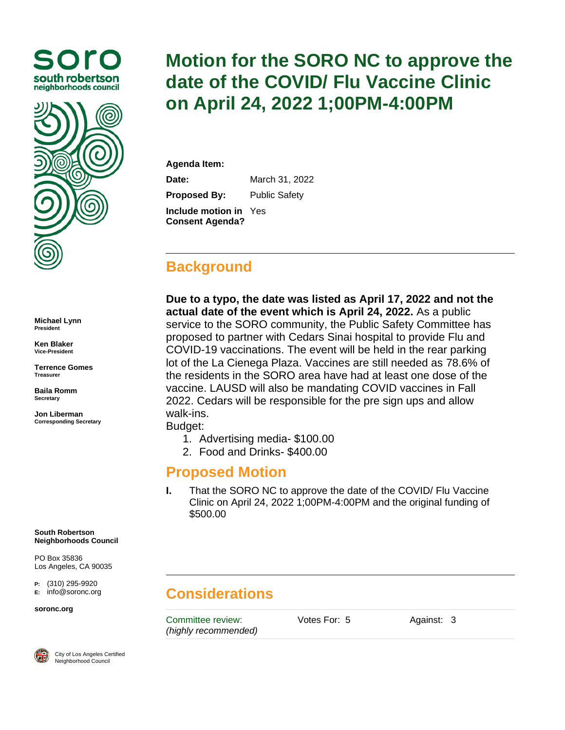



**Michael Lynn President**

**Ken Blaker Vice-President**

**Terrence Gomes Treasurer**

**Baila Romm Secretary**

**Jon Liberman Corresponding Secretary**

**South Robertson Neighborhoods Council**

PO Box 35836 Los Angeles, CA 90035

**P:** (310) 295-9920 **E:** [info@soronc.org](mailto:info@soronc.org)

#### **soronc.org**



City of Los Angeles Certified Neighborhood Council

# **Motion for the SORO NC to approve the date of the COVID/ Flu Vaccine Clinic on April 24, 2022 1;00PM-4:00PM**

**Agenda Item:**

**Date:** March 31, 2022

**Proposed By:** Public Safety

**Include motion in**  Yes **Consent Agenda?**

### **Background**

**Due to a typo, the date was listed as April 17, 2022 and not the actual date of the event which is April 24, 2022.** As a public service to the SORO community, the Public Safety Committee has proposed to partner with Cedars Sinai hospital to provide Flu and COVID-19 vaccinations. The event will be held in the rear parking lot of the La Cienega Plaza. Vaccines are still needed as 78.6% of the residents in the SORO area have had at least one dose of the vaccine. LAUSD will also be mandating COVID vaccines in Fall 2022. Cedars will be responsible for the pre sign ups and allow walk-ins.

Budget:

- 1. Advertising media- \$100.00
- 2. Food and Drinks- \$400.00

#### **Proposed Motion**

**I.** That the SORO NC to approve the date of the COVID/ Flu Vaccine Clinic on April 24, 2022 1;00PM-4:00PM and the original funding of \$500.00

## **Considerations**

Committee review: *(highly recommended)* Votes For: 5 Against: 3